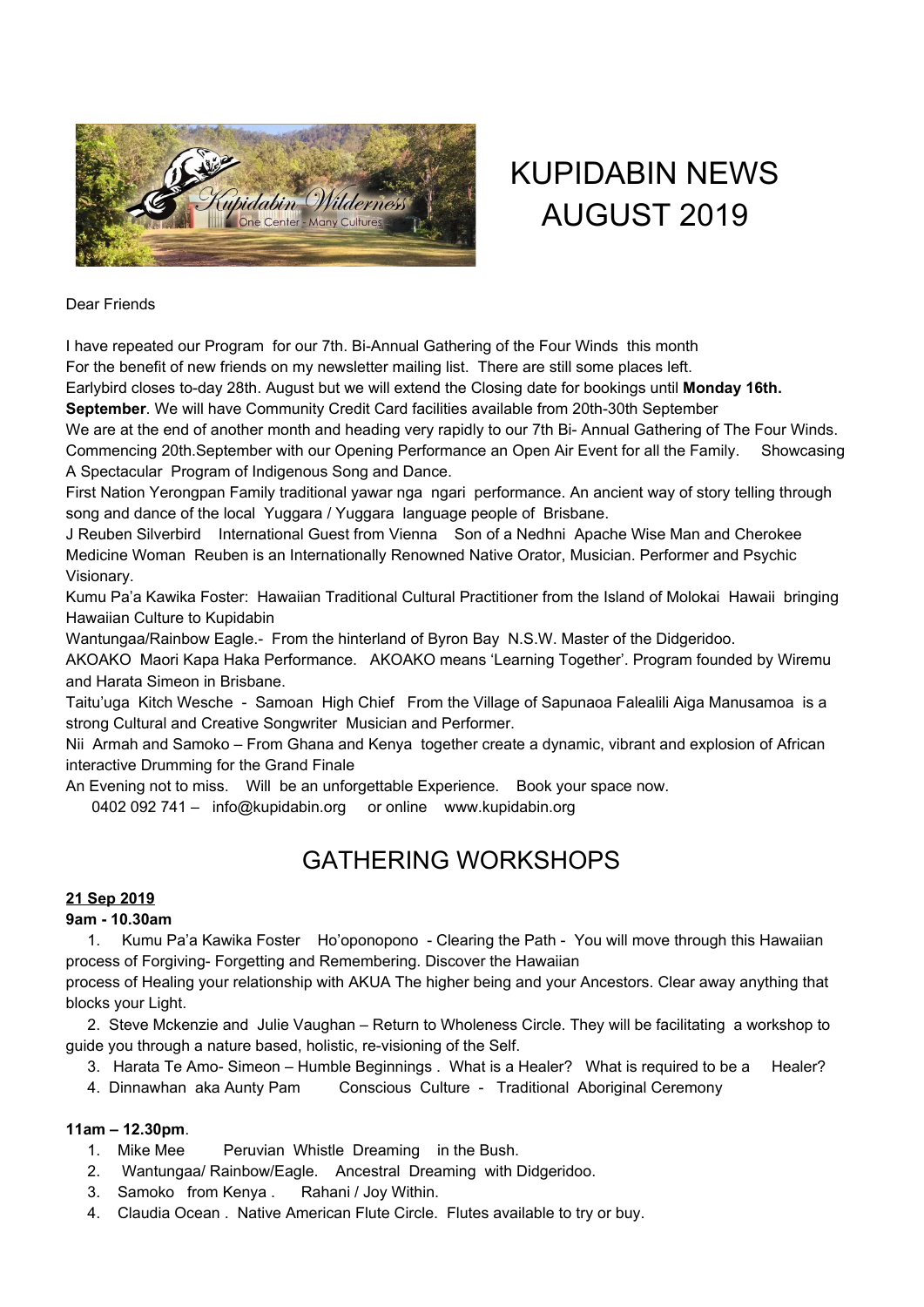

# KUPIDABIN NEWS AUGUST 2019

#### Dear Friends

I have repeated our Program for our 7th. Bi-Annual Gathering of the Four Winds this month For the benefit of new friends on my newsletter mailing list. There are still some places left.

Earlybird closes to-day 28th. August but we will extend the Closing date for bookings until **Monday 16th.**

**September**. We will have Community Credit Card facilities available from 20th-30th September

We are at the end of another month and heading very rapidly to our 7th Bi- Annual Gathering of The Four Winds. Commencing 20th.September with our Opening Performance an Open Air Event for all the Family. Showcasing A Spectacular Program of Indigenous Song and Dance.

First Nation Yerongpan Family traditional yawar nga ngari performance. An ancient way of story telling through song and dance of the local Yuggara / Yuggara language people of Brisbane.

J Reuben Silverbird International Guest from Vienna Son of a Nedhni Apache Wise Man and Cherokee Medicine Woman Reuben is an Internationally Renowned Native Orator, Musician. Performer and Psychic Visionary.

Kumu Pa'a Kawika Foster: Hawaiian Traditional Cultural Practitioner from the Island of Molokai Hawaii bringing Hawaiian Culture to Kupidabin

Wantungaa/Rainbow Eagle.- From the hinterland of Byron Bay N.S.W. Master of the Didgeridoo.

AKOAKO Maori Kapa Haka Performance. AKOAKO means 'Learning Together'. Program founded by Wiremu and Harata Simeon in Brisbane.

Taitu'uga Kitch Wesche - Samoan High Chief From the Village of Sapunaoa Falealili Aiga Manusamoa is a strong Cultural and Creative Songwriter Musician and Performer.

Nii Armah and Samoko – From Ghana and Kenya together create a dynamic, vibrant and explosion of African interactive Drumming for the Grand Finale

An Evening not to miss. Will be an unforgettable Experience. Book your space now.

0402 092 741 - info@kupidabin.org or online www.kupidabin.org

# GATHERING WORKSHOPS

### **21 Sep 2019**

#### **9am - 10.30am**

1. Kumu Pa'a Kawika Foster Ho'oponopono - Clearing the Path - You will move through this Hawaiian process of Forgiving- Forgetting and Remembering. Discover the Hawaiian

process of Healing your relationship with AKUA The higher being and your Ancestors. Clear away anything that blocks your Light.

2. Steve Mckenzie and Julie Vaughan – Return to Wholeness Circle. They will be facilitating a workshop to guide you through a nature based, holistic, re-visioning of the Self.

- 3. Harata Te Amo- Simeon Humble Beginnings . What is a Healer? What is required to be a Healer?
- 4. Dinnawhan aka Aunty Pam Conscious Culture Traditional Aboriginal Ceremony

## **11am – 12.30pm**.

- 1. Mike Mee Peruvian Whistle Dreaming in the Bush.
- 2. Wantungaa/ Rainbow/Eagle. Ancestral Dreaming with Didgeridoo.
- 3. Samoko from Kenya . Rahani / Joy Within.
- 4. Claudia Ocean . Native American Flute Circle. Flutes available to try or buy.